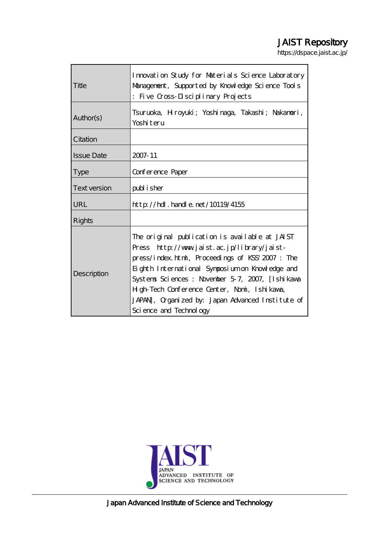# JAIST Repository

https://dspace.jaist.ac.jp/

| Title               | Imovation Study for Materials Science Laboratory<br>Management, Supported by Knowledge Science Tools<br>: Five Cross-Disciplinary Projects                                                                                                                                                                                                                                             |  |  |
|---------------------|----------------------------------------------------------------------------------------------------------------------------------------------------------------------------------------------------------------------------------------------------------------------------------------------------------------------------------------------------------------------------------------|--|--|
| Author(s)           | Tsuruoka, Hroyuki; Yoshimaga, Takashi; Nakanori,<br>Yoshiteru                                                                                                                                                                                                                                                                                                                          |  |  |
| Citation            |                                                                                                                                                                                                                                                                                                                                                                                        |  |  |
| <b>Issue Date</b>   | 2007-11                                                                                                                                                                                                                                                                                                                                                                                |  |  |
| <b>Type</b>         | Conference Paper                                                                                                                                                                                                                                                                                                                                                                       |  |  |
| <b>Text version</b> | publisher                                                                                                                                                                                                                                                                                                                                                                              |  |  |
| URL                 | $http$ // $hdl$ . handle. net/10119/4155                                                                                                                                                                                                                                                                                                                                               |  |  |
| <b>Rights</b>       |                                                                                                                                                                                                                                                                                                                                                                                        |  |  |
| Description         | The original publication is available at JAIST<br>Press http://www.jaist.ac.jp/library/jaist-<br>press/index.html, Proceedings of KSS' 2007: The<br>Eighth International Symposium on Knowledge and<br>Systems Sciences: November 5-7, 2007, [Ishikawa<br>H gh-Tech Conference Center, Nomi, Ishi kawa,<br>JAPAN, Organized by: Japan Advanced Institute of<br>Sci ence and Technology |  |  |



Japan Advanced Institute of Science and Technology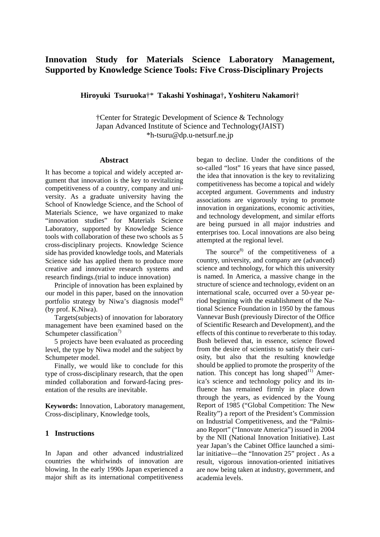# **Innovation Study for Materials Science Laboratory Management, Supported by Knowledge Science Tools: Five Cross-Disciplinary Projects**

**Hiroyuki Tsuruoka**†\* **Takashi Yoshinaga**†**, Yoshiteru Nakamori**†

†Center for Strategic Development of Science & Technology Japan Advanced Institute of Science and Technology(JAIST) \*h-tsuru@dp.u-netsurf.ne.jp

#### **Abstract**

It has become a topical and widely accepted argument that innovation is the key to revitalizing competitiveness of a country, company and university. As a graduate university having the School of Knowledge Science, and the School of Materials Science, we have organized to make "innovation studies" for Materials Science Laboratory, supported by Knowledge Science tools with collaboration of these two schools as 5 cross-disciplinary projects. Knowledge Science side has provided knowledge tools, and Materials Science side has applied them to produce more creative and innovative research systems and research findings.(trial to induce innovation)

Principle of innovation has been explained by our model in this paper, based on the innovation portfolio strategy by Niwa's diagnosis model<sup>4)</sup> (by prof. K.Niwa).

Targets(subjects) of innovation for laboratory management have been examined based on the Schumpeter classification<sup>7)</sup>

5 projects have been evaluated as proceeding level, the type by Niwa model and the subject by Schumpeter model.

Finally, we would like to conclude for this type of cross-disciplinary research, that the open minded collaboration and forward-facing presentation of the results are inevitable.

**Keywords:** Innovation, Laboratory management, Cross-disciplinary, Knowledge tools,

#### **1 Instructions**

In Japan and other advanced industrialized countries the whirlwinds of innovation are blowing. In the early 1990s Japan experienced a major shift as its international competitiveness

began to decline. Under the conditions of the so-called "lost" 16 years that have since passed, the idea that innovation is the key to revitalizing competitiveness has become a topical and widely accepted argument. Governments and industry associations are vigorously trying to promote innovation in organizations, economic activities, and technology development, and similar efforts are being pursued in all major industries and enterprises too. Local innovations are also being attempted at the regional level.

The source<sup>8)</sup> of the competitiveness of a country, university, and company are (advanced) science and technology, for which this university is named. In America, a massive change in the structure of science and technology, evident on an international scale, occurred over a 50-year period beginning with the establishment of the National Science Foundation in 1950 by the famous Vannevar Bush (previously Director of the Office of Scientific Research and Development), and the effects of this continue to reverberate to this today. Bush believed that, in essence, science flowed from the desire of scientists to satisfy their curiosity, but also that the resulting knowledge should be applied to promote the prosperity of the nation. This concept has long shaped $11)$  America's science and technology policy and its influence has remained firmly in place down through the years, as evidenced by the Young Report of 1985 ("Global Competition: The New Reality") a report of the President's Commission on Industrial Competitiveness, and the "Palmisano Report" ("Innovate America") issued in 2004 by the NII (National Innovation Initiative). Last year Japan's the Cabinet Office launched a similar initiative—the "Innovation 25" project . As a result, vigorous innovation-oriented initiatives are now being taken at industry, government, and academia levels.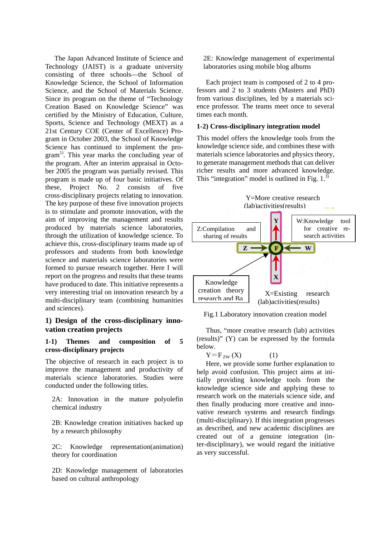The Japan Advanced Institute of Science and Technology (JAIST) is a graduate university consisting of three schools—the School of Knowledge Science, the School of Information Science, and the School of Materials Science. Since its program on the theme of "Technology Creation Based on Knowledge Science" was certified by the Ministry of Education, Culture, Sports, Science and Technology (MEXT) as a 21st Century COE (Center of Excellence) Program in October 2003, the School of Knowledge Science has continued to implement the program<sup>1)</sup>. This year marks the concluding year of the program. After an interim appraisal in October 2005 the program was partially revised. This program is made up of four basic initiatives. Of these, Project No. 2 consists of five cross-disciplinary projects relating to innovation. The key purpose of these five innovation projects is to stimulate and promote innovation, with the aim of improving the management and results produced by materials science laboratories, through the utilization of knowledge science. To achieve this, cross-disciplinary teams made up of professors and students from both knowledge science and materials science laboratories were formed to pursue research together. Here I will report on the progress and results that these teams have produced to date. This initiative represents a very interesting trial on innovation research by a multi-disciplinary team (combining humanities and sciences).

# **1) Design of the cross-disciplinary innovation creation projects**

#### **1-1) Themes and composition of 5 cross-disciplinary projects**

The objective of research in each project is to improve the management and productivity of materials science laboratories. Studies were conducted under the following titles.

2A: Innovation in the mature polyolefin chemical industry

2B: Knowledge creation initiatives backed up by a research philosophy

2C: Knowledge representation(animation) theory for coordination

2D: Knowledge management of laboratories based on cultural anthropology

2E: Knowledge management of experimental laboratories using mobile blog albums

Each project team is composed of 2 to 4 professors and 2 to 3 students (Masters and PhD) from various disciplines, led by a materials science professor. The teams meet once to several times each month.

#### **1-2) Cross-disciplinary integration model**

This model offers the knowledge tools from the knowledge science side, and combines these with materials science laboratories and physics theory, to generate management methods that can deliver richer results and more advanced knowledge. This "integration" model is outlined in Fig.  $1<sup>3</sup>$ 



Fig.1 Laboratory innovation creation model

Thus, "more creative research (lab) activities (results)" (Y) can be expressed by the formula below.

$$
Y = F_{ZW}(X) \tag{1}
$$

Here, we provide some further explanation to help avoid confusion. This project aims at initially providing knowledge tools from the knowledge science side and applying these to research work on the materials science side, and then finally producing more creative and innovative research systems and research findings (multi-disciplinary). If this integration progresses as described, and new academic disciplines are created out of a genuine integration (inter-disciplinary), we would regard the initiative as very successful.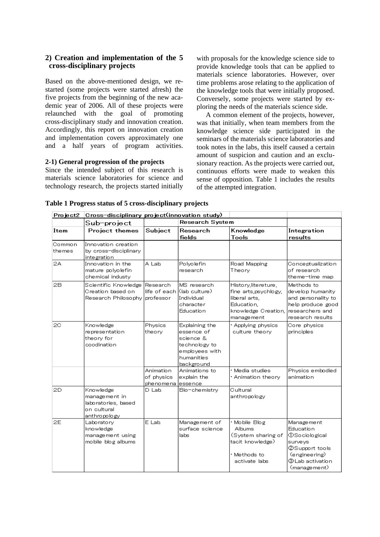# **2) Creation and implementation of the 5 cross-disciplinary projects**

Based on the above-mentioned design, we restarted (some projects were started afresh) the five projects from the beginning of the new academic year of 2006. All of these projects were relaunched with the goal of promoting cross-disciplinary study and innovation creation. Accordingly, this report on innovation creation and implementation covers approximately one and a half years of program activities.

# **2-1) General progression of the projects**

Since the intended subject of this research is materials science laboratories for science and technology research, the projects started initially

with proposals for the knowledge science side to provide knowledge tools that can be applied to materials science laboratories. However, over time problems arose relating to the application of the knowledge tools that were initially proposed. Conversely, some projects were started by exploring the needs of the materials science side.

A common element of the projects, however, was that initially, when team members from the knowledge science side participated in the seminars of the materials science laboratories and took notes in the labs, this itself caused a certain amount of suspicion and caution and an exclusionary reaction. As the projects were carried out, continuous efforts were made to weaken this sense of opposition. Table 1 includes the results of the attempted integration.

| Project2         | Cross-disciplinary project(innovation study)                                     |                                       |                                                                                                          |                                                                                                                    |                                                                                                                                  |
|------------------|----------------------------------------------------------------------------------|---------------------------------------|----------------------------------------------------------------------------------------------------------|--------------------------------------------------------------------------------------------------------------------|----------------------------------------------------------------------------------------------------------------------------------|
|                  | Sub-project                                                                      |                                       | <b>Research System</b>                                                                                   |                                                                                                                    |                                                                                                                                  |
| Item             | <b>Project themes</b>                                                            | Subject                               | Research                                                                                                 | Knowledge                                                                                                          | Integration                                                                                                                      |
|                  |                                                                                  |                                       | fields                                                                                                   | Tools                                                                                                              | results                                                                                                                          |
| Common<br>themes | Innovation creation<br>by cross-disciplinary<br>integration                      |                                       |                                                                                                          |                                                                                                                    |                                                                                                                                  |
| 2A               | Innovation in the<br>mature polvolefin<br>chemical industy                       | A Lab.                                | Polyolefin<br>research                                                                                   | Road Mapping<br>Theory                                                                                             | Conceptualization<br>of research<br>theme-time map                                                                               |
| 2В               | Scientific Knowledge<br>Creation based on<br>Research Philosophy                 | Research<br>life of each<br>professor | MS research<br>Klab culture)<br>Individual<br>character<br>Education                                     | History, lite reture,<br>fine arts.psychlogy.<br>liberal arts,<br>Education.<br>knowledge Creation,<br>manage ment | Methods to<br>develop humanity<br>and personality to<br>help produce good<br>researchers and<br>research results                 |
| 20               | Knowledge<br>representation<br>theory for<br>coodination                         | Physics<br>theory                     | Explaining the<br>essence of<br>science &<br>technology to<br>employees with<br>humanities<br>background | Applying physics<br>culture theory                                                                                 | Core physics<br>principles                                                                                                       |
|                  |                                                                                  | Animation<br>of physics<br>phenomena  | Animations to<br>explain the<br>lessence                                                                 | Media studies<br>· Animation theory                                                                                | Physics embodied<br>animation.                                                                                                   |
| 2D               | Knowledge<br>management in<br>laboratories, based<br>on cultural<br>anthropology | D Lab.                                | Bio-chemistry                                                                                            | Cultural<br>anthropology                                                                                           |                                                                                                                                  |
| 2E               | Laboratory<br>knowledge<br>management using<br>mobile blog albums                | E Lab.                                | Management of<br>surface science<br>labs                                                                 | Mobile Blog<br>Albums<br>(System sharing of<br>tacit knowledge)<br>Methods to<br>activate labs                     | Management<br>Education<br><b>OSociological</b><br>surveys<br>©Support tools<br>(engineering)<br>tab activation⊙<br>(management) |

#### **Table 1 Progress status of 5 cross-disciplinary projects**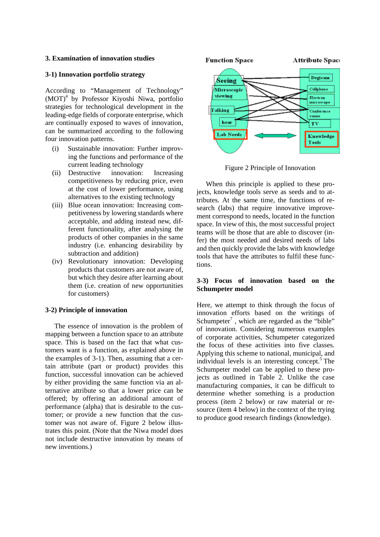#### **3. Examination of innovation studies**

#### **3-1) Innovation portfolio strategy**

According to "Management of Technology" (MOT)<sup>4</sup> by Professor Kiyoshi Niwa, portfolio strategies for technological development in the leading-edge fields of corporate enterprise, which are continually exposed to waves of innovation, can be summarized according to the following four innovation patterns.

- (i) Sustainable innovation: Further improving the functions and performance of the current leading technology
- (ii) Destructive innovation: Increasing competitiveness by reducing price, even at the cost of lower performance, using alternatives to the existing technology
- (iii) Blue ocean innovation: Increasing competitiveness by lowering standards where acceptable, and adding instead new, different functionality, after analysing the products of other companies in the same industry (i.e. enhancing desirability by subtraction and addition)
- (iv) Revolutionary innovation: Developing products that customers are not aware of, but which they desire after learning about them (i.e. creation of new opportunities for customers)

#### **3-2) Principle of innovation**

The essence of innovation is the problem of mapping between a function space to an attribute space. This is based on the fact that what customers want is a function, as explained above in the examples of 3-1). Then, assuming that a certain attribute (part or product) provides this function, successful innovation can be achieved by either providing the same function via an alternative attribute so that a lower price can be offered; by offering an additional amount of performance (alpha) that is desirable to the customer; or provide a new function that the customer was not aware of. Figure 2 below illustrates this point. (Note that the Niwa model does not include destructive innovation by means of new inventions.)



Figure 2 Principle of Innovation

When this principle is applied to these projects, knowledge tools serve as seeds and to attributes. At the same time, the functions of research (labs) that require innovative improvement correspond to needs, located in the function space. In view of this, the most successful project teams will be those that are able to discover (infer) the most needed and desired needs of labs and then quickly provide the labs with knowledge tools that have the attributes to fulfil these functions.

#### **3-3) Focus of innovation based on the Schumpeter model**

Here, we attempt to think through the focus of innovation efforts based on the writings of Schumpeter<sup>7</sup>, which are regarded as the "bible" of innovation. Considering numerous examples of corporate activities, Schumpeter categorized the focus of these activities into five classes. Applying this scheme to national, municipal, and individual levels is an interesting concept. $5$  The Schumpeter model can be applied to these projects as outlined in Table 2. Unlike the case manufacturing companies, it can be difficult to determine whether something is a production process (item 2 below) or raw material or resource (item 4 below) in the context of the trying to produce good research findings (knowledge).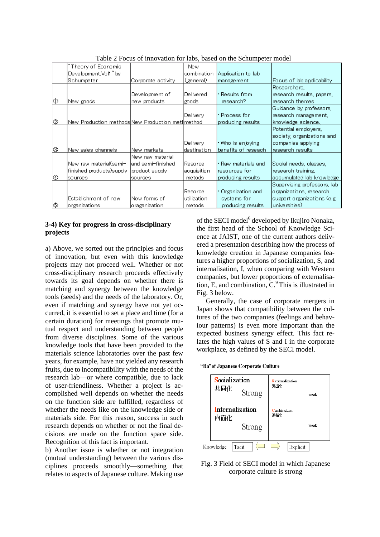|     | Theory of Economic                               |                    | New              |                     |                             |
|-----|--------------------------------------------------|--------------------|------------------|---------------------|-----------------------------|
|     | Development,Vol1" by                             |                    | combination      | Application to lab  |                             |
|     | Schumpeter                                       | Corporate activity | (general)        | management          | Focus of lab applicability  |
|     |                                                  |                    |                  |                     | Researchers,                |
|     |                                                  | Development of     | <b>Delivered</b> | • Results from:     | research results, papers,   |
| ∣⊕  | New goods                                        | new products.      | goods.           | research?           | research themes             |
|     |                                                  |                    |                  |                     | Guidance by professors,     |
|     |                                                  |                    | Delivery         | • Process for       | research management,        |
| 1©  | New Production methods New Production met∦method |                    |                  | producing results   | knowledge science、          |
|     |                                                  |                    |                  |                     | Potential employers,        |
|     |                                                  |                    |                  |                     | society, organizations and  |
|     |                                                  |                    | Delivery         | ∙Who is enjoying    | companies applying          |
| 0   | New sales channels                               | New markets        | ldestination     | benefits of reseach | research results            |
|     |                                                  | New raw material   |                  |                     |                             |
|     | New raw material(semi-                           | land semi-finished | lResorce.        | • Raw materials and | Social needs, classes,      |
|     | finished products) supply                        | product supply     | lacquisition     | resources for       | research training,          |
| Ι⊕  | sources                                          | sources            | metods           | producing results   | accumulated lab knowledge   |
|     |                                                  |                    |                  |                     | Supervising professors, lab |
|     |                                                  |                    | Resorce          | • Organization and  | organizations, research     |
|     | Establishment of new                             | New forms of       | utilization      | systems for         | support organizations (e.g. |
| 16D | organizations                                    | oraganization      | metods           | producing results   | universities)               |

Table 2 Focus of innovation for labs, based on the Schumpeter model

# **3-4) Key for progress in cross-disciplinary projects**

a) Above, we sorted out the principles and focus of innovation, but even with this knowledge projects may not proceed well. Whether or not cross-disciplinary research proceeds effectively towards its goal depends on whether there is matching and synergy between the knowledge tools (seeds) and the needs of the laboratory. Or, even if matching and synergy have not yet occurred, it is essential to set a place and time (for a certain duration) for meetings that promote mutual respect and understanding between people from diverse disciplines. Some of the various knowledge tools that have been provided to the materials science laboratories over the past few years, for example, have not yielded any research fruits, due to incompatibility with the needs of the research lab—or where compatible, due to lack of user-friendliness. Whether a project is accomplished well depends on whether the needs on the function side are fulfilled, regardless of whether the needs like on the knowledge side or materials side. For this reason, success in such research depends on whether or not the final decisions are made on the function space side. Recognition of this fact is important.

b) Another issue is whether or not integration (mutual understanding) between the various disciplines proceeds smoothly—something that relates to aspects of Japanese culture. Making use

of the SECI model<sup>6</sup> developed by Ikujiro Nonaka, the first head of the School of Knowledge Science at JAIST, one of the current authors delivered a presentation describing how the process of knowledge creation in Japanese companies features a higher proportions of socialization, S, and internalisation, I, when comparing with Western companies, but lower proportions of externalisation, E, and combination,  $C<sup>9</sup>$  This is illustrated in Fig. 3 below.

Generally, the case of corporate mergers in Japan shows that compatibility between the cultures of the two companies (feelings and behaviour patterns) is even more important than the expected business synergy effect. This fact relates the high values of S and I in the corporate workplace, as defined by the SECI model.

|  |  | "Ba"of Japanese Corporate Culture |  |
|--|--|-----------------------------------|--|
|--|--|-----------------------------------|--|

| Socialization<br>共同化<br>Strong          | Externalization<br>表出化<br>weak |
|-----------------------------------------|--------------------------------|
| <b>Internalization</b><br>内面化<br>Strong | Combination<br>連結化<br>weak     |
| Knowledge<br>Tacit                      | Explicit                       |

#### Fig. 3 Field of SECI model in which Japanese corporate culture is strong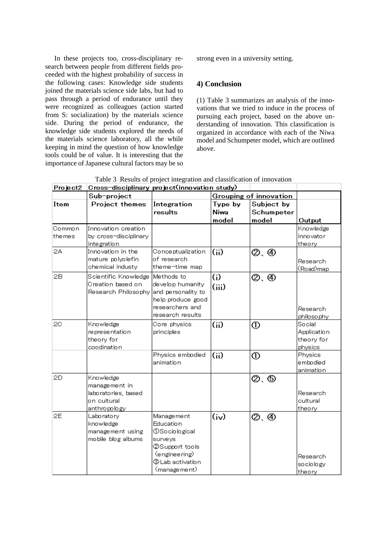In these projects too, cross-disciplinary research between people from different fields proceeded with the highest probability of success in the following cases: Knowledge side students joined the materials science side labs, but had to pass through a period of endurance until they were recognized as colleagues (action started from S: socialization) by the materials science side. During the period of endurance, the knowledge side students explored the needs of the materials science laboratory, all the while keeping in mind the question of how knowledge tools could be of value. It is interesting that the importance of Japanese cultural factors may be so

strong even in a university setting.

# **4) Conclusion**

(1) Table 3 summarizes an analysis of the innovations that we tried to induce in the process of pursuing each project, based on the above understanding of innovation. This classification is organized in accordance with each of the Niwa model and Schumpeter model, which are outlined above.

Table 3 Results of project integration and classification of innovation

| Project2 | Cross-disciplinary project(innovation study) |                        |         |              |             |
|----------|----------------------------------------------|------------------------|---------|--------------|-------------|
|          | Sub-project                                  | Grouping of innovation |         |              |             |
| Item     | Project themes                               | Integration            | Type by | Subject by   |             |
|          |                                              | results                | Niwa    | Schumpeter   |             |
|          |                                              |                        | model   | model        | Output      |
| Common   | Innovation creation                          |                        |         |              | Knowledge   |
| themes   | by cross-disciplinary                        |                        |         |              | innovator   |
|          | integration                                  |                        |         |              | theory      |
| 2A       | Innovation in the                            | Conceptualization      | (ii)    | Ø. Ð         |             |
|          | mature polyolefin                            | of research            |         |              | Research    |
|          | chemical industy                             | theme-time map         |         |              | (Road)map   |
| 2В       | Scientific Knowledge                         | Methods to             | (i)     | ②. ④         |             |
|          | Creation based on                            | develop humanity       | (iii)   |              |             |
|          | Research Philosophy and personality to       |                        |         |              |             |
|          |                                              | help produce good      |         |              |             |
|          |                                              | researchers and        |         |              | Research    |
|          |                                              | research results       |         |              | philosophy  |
| 20       | Knowledge                                    | Core physics           | (ii)    | ➀            | Social      |
|          | representation                               | principles             |         |              | Application |
|          | theory for                                   |                        |         |              | theory for  |
|          | coodination                                  |                        |         |              | physics     |
|          |                                              | Physics embodied       | (i)     | $^\circledR$ | Physics     |
|          |                                              | animation              |         |              | embodied    |
|          |                                              |                        |         |              | animation   |
| 2D       | Knowledge                                    |                        |         | 2. O         |             |
|          | management in                                |                        |         |              |             |
|          | laboratories, based                          |                        |         |              | Research    |
|          | on cultural                                  |                        |         |              | cultural    |
|          | anthropology                                 |                        |         |              | theory      |
| 2E       | Laboratory                                   | Management             | (iv)    | ②. ④         |             |
|          | knowledge                                    | <b>Education</b>       |         |              |             |
|          | management using                             | <b>①Sociological</b>   |         |              |             |
|          | mobile blog albums                           | surveys                |         |              |             |
|          |                                              | ②Support tools         |         |              |             |
|          |                                              | (engineering)          |         |              | Research    |
|          |                                              | ③Lab activation        |         |              | sociology   |
|          |                                              | (management)           |         |              | theory      |